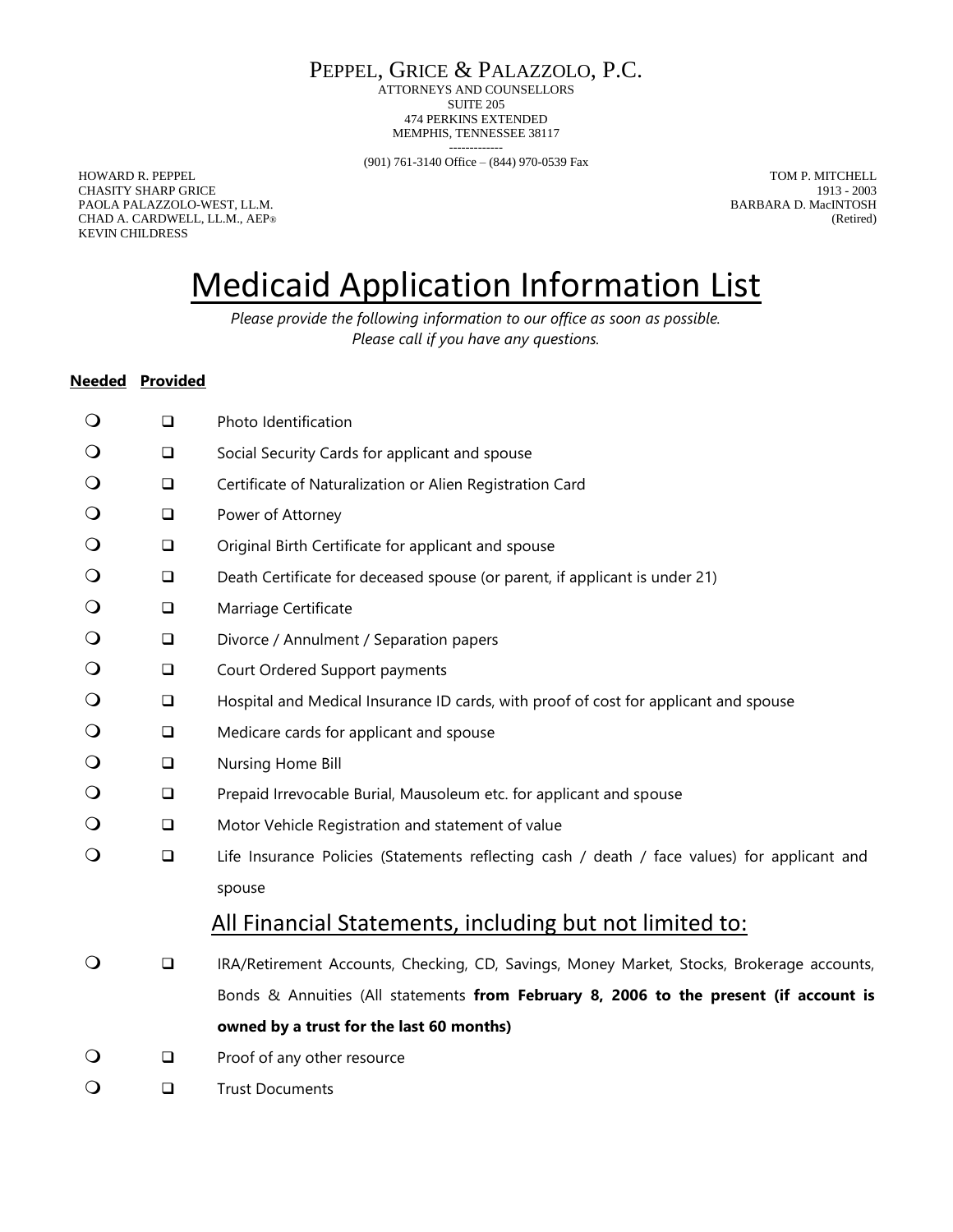PEPPEL, GRICE & PALAZZOLO, P.C.

ATTORNEYS AND COUNSELLORS SUITE 205 474 PERKINS EXTENDED MEMPHIS, TENNESSEE 38117

------------- (901) 761-3140 Office – (844) 970-0539 Fax

HOWARD R. PEPPEL TOM P. MITCHELL CHASITY SHARP GRICE 1913 - 2003 PAOLA PALAZZOLO-WEST, LL.M. BARBARA D. MacINTOSH CHAD A. CARDWELL, LL.M., AEP® (Retired) CHAD A. CARDWELL, LL.M., AEP® KEVIN CHILDRESS

## Medicaid Application Information List

*Please provide the following information to our office as soon as possible. Please call if you have any questions.*

#### **Needed Provided**

| $\bigcirc$ | $\Box$ | Photo Identification                                                                         |
|------------|--------|----------------------------------------------------------------------------------------------|
| $\bigcirc$ | $\Box$ | Social Security Cards for applicant and spouse                                               |
| $\bigcirc$ | $\Box$ | Certificate of Naturalization or Alien Registration Card                                     |
| $\bigcirc$ | $\Box$ | Power of Attorney                                                                            |
| $\bigcirc$ | $\Box$ | Original Birth Certificate for applicant and spouse                                          |
| $\bigcirc$ | $\Box$ | Death Certificate for deceased spouse (or parent, if applicant is under 21)                  |
| $\bigcirc$ | $\Box$ | Marriage Certificate                                                                         |
| $\bigcirc$ | $\Box$ | Divorce / Annulment / Separation papers                                                      |
| $\bigcirc$ | $\Box$ | Court Ordered Support payments                                                               |
| $\bigcirc$ | $\Box$ | Hospital and Medical Insurance ID cards, with proof of cost for applicant and spouse         |
| $\bigcirc$ | $\Box$ | Medicare cards for applicant and spouse                                                      |
| $\bigcirc$ | $\Box$ | Nursing Home Bill                                                                            |
| $\bigcirc$ | $\Box$ | Prepaid Irrevocable Burial, Mausoleum etc. for applicant and spouse                          |
| $\bigcirc$ | $\Box$ | Motor Vehicle Registration and statement of value                                            |
| $\bigcirc$ | $\Box$ | Life Insurance Policies (Statements reflecting cash / death / face values) for applicant and |
|            |        | spouse                                                                                       |
|            |        | All Financial Statements, including but not limited to:                                      |
| $\bigcirc$ | $\Box$ | IRA/Retirement Accounts, Checking, CD, Savings, Money Market, Stocks, Brokerage accounts,    |
|            |        | Bonds & Annuities (All statements from February 8, 2006 to the present (if account is        |
|            |        | owned by a trust for the last 60 months)                                                     |
| $\bigcirc$ | $\Box$ | Proof of any other resource                                                                  |
| $\bigcirc$ | $\Box$ | <b>Trust Documents</b>                                                                       |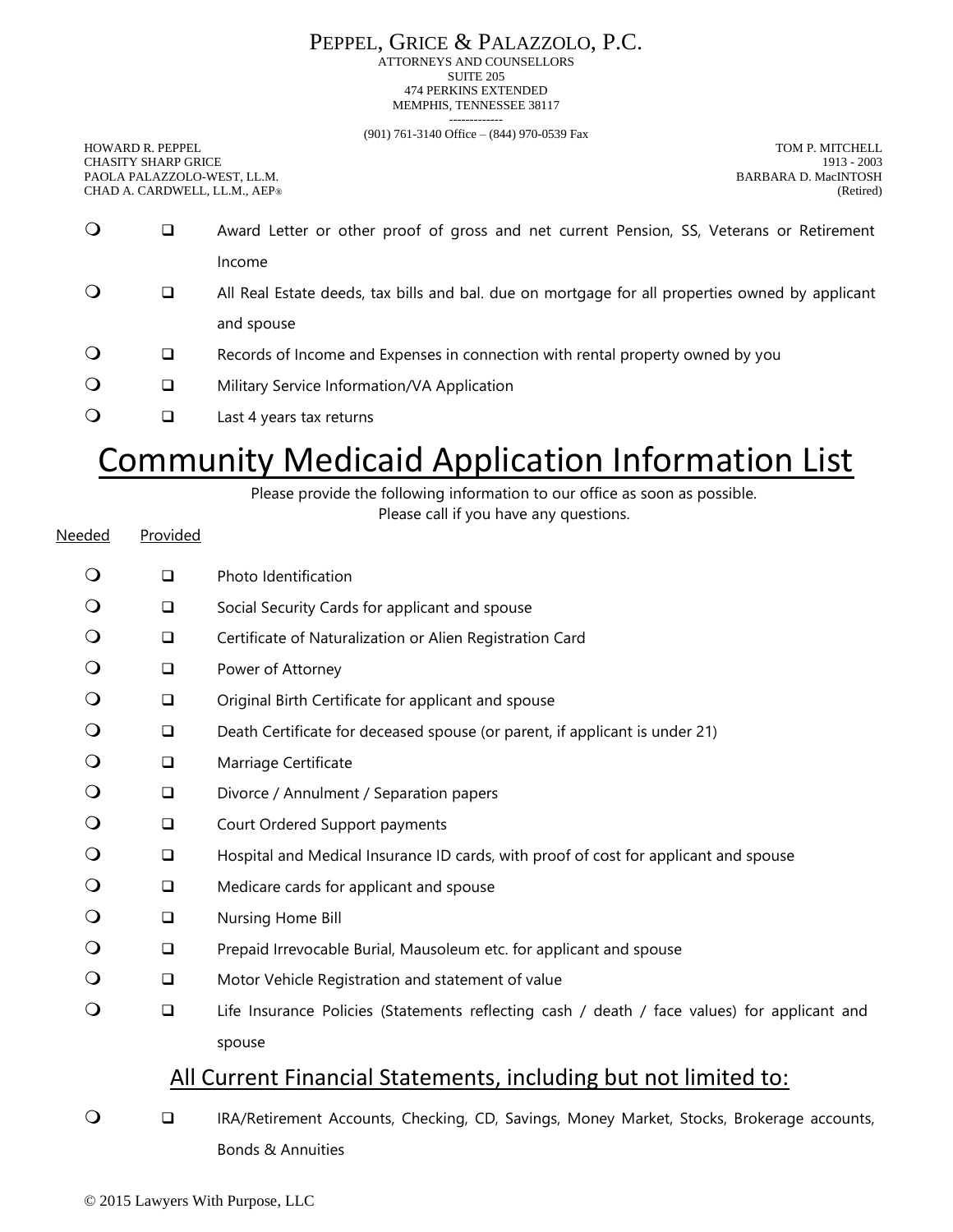### PEPPEL, GRICE & PALAZZOLO, P.C.

ATTORNEYS AND COUNSELLORS SUITE 205 474 PERKINS EXTENDED MEMPHIS, TENNESSEE 38117 -------------

(901) 761-3140 Office – (844) 970-0539 Fax

HOWARD R. PEPPEL TOM P. MITCHELL TOM P. MITCHELL CHASITY SHARP GRICE 1913 - 2003 PAOLA PALAZZOLO-WEST, LL.M. BARBARA D. MacINTOSH CHAD A. CARDWELL, LL.M., AEP®

| $\bigcirc$ |   | Award Letter or other proof of gross and net current Pension, SS, Veterans or Retirement        |
|------------|---|-------------------------------------------------------------------------------------------------|
|            |   | Income                                                                                          |
| $\circ$    | u | All Real Estate deeds, tax bills and bal. due on mortgage for all properties owned by applicant |
|            |   | and spouse                                                                                      |
| $\circ$    | ⊔ | Records of Income and Expenses in connection with rental property owned by you                  |
| $\circ$    | ⊔ | Military Service Information/VA Application                                                     |
| $\bigcirc$ |   | Last 4 years tax returns                                                                        |

# Community Medicaid Application Information List

Please provide the following information to our office as soon as possible.

Please call if you have any questions.

| Needed     | Provided |                                                                                              |
|------------|----------|----------------------------------------------------------------------------------------------|
| $\circ$    | $\Box$   | Photo Identification                                                                         |
|            | $\Box$   | Social Security Cards for applicant and spouse                                               |
| $\circ$    | $\Box$   | Certificate of Naturalization or Alien Registration Card                                     |
| O          | $\Box$   | Power of Attorney                                                                            |
| O          | $\Box$   | Original Birth Certificate for applicant and spouse                                          |
| $\bigcirc$ | $\Box$   | Death Certificate for deceased spouse (or parent, if applicant is under 21)                  |
| O          | $\Box$   | Marriage Certificate                                                                         |
| O          | $\Box$   | Divorce / Annulment / Separation papers                                                      |
|            | $\Box$   | Court Ordered Support payments                                                               |
|            | $\Box$   | Hospital and Medical Insurance ID cards, with proof of cost for applicant and spouse         |
| O          | $\Box$   | Medicare cards for applicant and spouse                                                      |
|            | $\Box$   | Nursing Home Bill                                                                            |
| O          | $\Box$   | Prepaid Irrevocable Burial, Mausoleum etc. for applicant and spouse                          |
|            | $\Box$   | Motor Vehicle Registration and statement of value                                            |
| $\circ$    | $\Box$   | Life Insurance Policies (Statements reflecting cash / death / face values) for applicant and |
|            |          | spouse                                                                                       |
|            |          | All Current Financial Statements, including but not limited to:                              |
|            |          |                                                                                              |

### ❑ IRA/Retirement Accounts, Checking, CD, Savings, Money Market, Stocks, Brokerage accounts, Bonds & Annuities